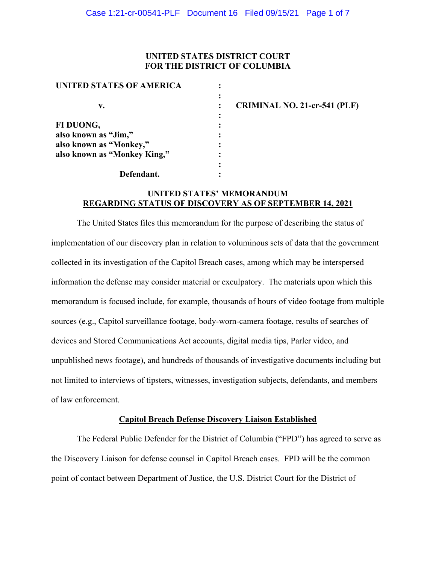# **UNITED STATES DISTRICT COURT FOR THE DISTRICT OF COLUMBIA**

| UNITED STATES OF AMERICA     |  |
|------------------------------|--|
|                              |  |
| v.                           |  |
|                              |  |
| FI DUONG,                    |  |
| also known as "Jim,"         |  |
| also known as "Monkey,"      |  |
| also known as "Monkey King," |  |
|                              |  |
| Defendant.                   |  |

**CRIMINAL NO. 21-cr-541 (PLF)**

# **UNITED STATES' MEMORANDUM REGARDING STATUS OF DISCOVERY AS OF SEPTEMBER 14, 2021**

The United States files this memorandum for the purpose of describing the status of implementation of our discovery plan in relation to voluminous sets of data that the government collected in its investigation of the Capitol Breach cases, among which may be interspersed information the defense may consider material or exculpatory. The materials upon which this memorandum is focused include, for example, thousands of hours of video footage from multiple sources (e.g., Capitol surveillance footage, body-worn-camera footage, results of searches of devices and Stored Communications Act accounts, digital media tips, Parler video, and unpublished news footage), and hundreds of thousands of investigative documents including but not limited to interviews of tipsters, witnesses, investigation subjects, defendants, and members of law enforcement.

# **Capitol Breach Defense Discovery Liaison Established**

The Federal Public Defender for the District of Columbia ("FPD") has agreed to serve as the Discovery Liaison for defense counsel in Capitol Breach cases. FPD will be the common point of contact between Department of Justice, the U.S. District Court for the District of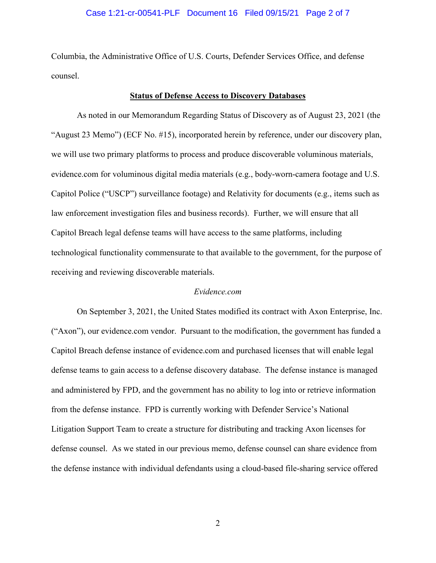#### Case 1:21-cr-00541-PLF Document 16 Filed 09/15/21 Page 2 of 7

Columbia, the Administrative Office of U.S. Courts, Defender Services Office, and defense counsel.

#### **Status of Defense Access to Discovery Databases**

As noted in our Memorandum Regarding Status of Discovery as of August 23, 2021 (the "August 23 Memo") (ECF No. #15), incorporated herein by reference, under our discovery plan, we will use two primary platforms to process and produce discoverable voluminous materials, evidence.com for voluminous digital media materials (e.g., body-worn-camera footage and U.S. Capitol Police ("USCP") surveillance footage) and Relativity for documents (e.g., items such as law enforcement investigation files and business records). Further, we will ensure that all Capitol Breach legal defense teams will have access to the same platforms, including technological functionality commensurate to that available to the government, for the purpose of receiving and reviewing discoverable materials.

#### *Evidence.com*

On September 3, 2021, the United States modified its contract with Axon Enterprise, Inc. ("Axon"), our evidence.com vendor. Pursuant to the modification, the government has funded a Capitol Breach defense instance of evidence.com and purchased licenses that will enable legal defense teams to gain access to a defense discovery database. The defense instance is managed and administered by FPD, and the government has no ability to log into or retrieve information from the defense instance. FPD is currently working with Defender Service's National Litigation Support Team to create a structure for distributing and tracking Axon licenses for defense counsel. As we stated in our previous memo, defense counsel can share evidence from the defense instance with individual defendants using a cloud-based file-sharing service offered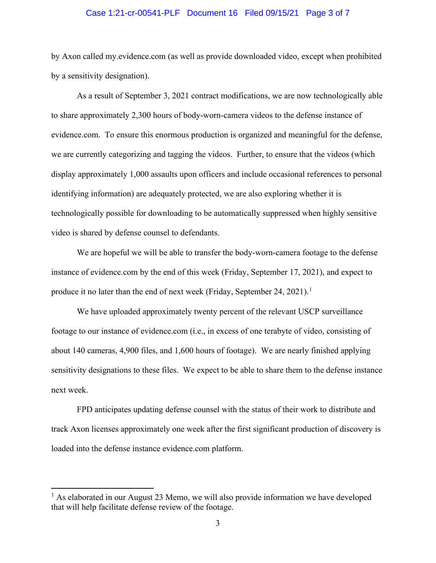#### Case 1:21-cr-00541-PLF Document 16 Filed 09/15/21 Page 3 of 7

by Axon called my.evidence.com (as well as provide downloaded video, except when prohibited by a sensitivity designation).

As a result of September 3, 2021 contract modifications, we are now technologically able to share approximately 2,300 hours of body-worn-camera videos to the defense instance of evidence.com. To ensure this enormous production is organized and meaningful for the defense, we are currently categorizing and tagging the videos. Further, to ensure that the videos (which display approximately 1,000 assaults upon officers and include occasional references to personal identifying information) are adequately protected, we are also exploring whether it is technologically possible for downloading to be automatically suppressed when highly sensitive video is shared by defense counsel to defendants.

We are hopeful we will be able to transfer the body-worn-camera footage to the defense instance of evidence.com by the end of this week (Friday, September 17, 2021), and expect to produce it no later than the end of next week (Friday, September 24, 2021).<sup>1</sup>

We have uploaded approximately twenty percent of the relevant USCP surveillance footage to our instance of evidence.com (i.e., in excess of one terabyte of video, consisting of about 140 cameras, 4,900 files, and 1,600 hours of footage). We are nearly finished applying sensitivity designations to these files. We expect to be able to share them to the defense instance next week.

FPD anticipates updating defense counsel with the status of their work to distribute and track Axon licenses approximately one week after the first significant production of discovery is loaded into the defense instance evidence.com platform.

 $<sup>1</sup>$  As elaborated in our August 23 Memo, we will also provide information we have developed</sup> that will help facilitate defense review of the footage.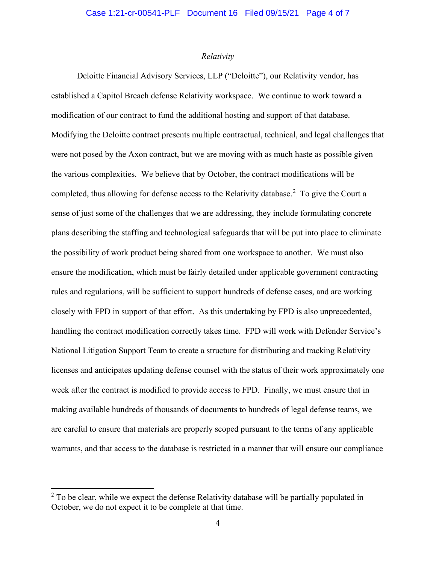#### *Relativity*

Deloitte Financial Advisory Services, LLP ("Deloitte"), our Relativity vendor, has established a Capitol Breach defense Relativity workspace. We continue to work toward a modification of our contract to fund the additional hosting and support of that database. Modifying the Deloitte contract presents multiple contractual, technical, and legal challenges that were not posed by the Axon contract, but we are moving with as much haste as possible given the various complexities. We believe that by October, the contract modifications will be completed, thus allowing for defense access to the Relativity database.<sup>2</sup> To give the Court a sense of just some of the challenges that we are addressing, they include formulating concrete plans describing the staffing and technological safeguards that will be put into place to eliminate the possibility of work product being shared from one workspace to another. We must also ensure the modification, which must be fairly detailed under applicable government contracting rules and regulations, will be sufficient to support hundreds of defense cases, and are working closely with FPD in support of that effort. As this undertaking by FPD is also unprecedented, handling the contract modification correctly takes time. FPD will work with Defender Service's National Litigation Support Team to create a structure for distributing and tracking Relativity licenses and anticipates updating defense counsel with the status of their work approximately one week after the contract is modified to provide access to FPD. Finally, we must ensure that in making available hundreds of thousands of documents to hundreds of legal defense teams, we are careful to ensure that materials are properly scoped pursuant to the terms of any applicable warrants, and that access to the database is restricted in a manner that will ensure our compliance

 $2$  To be clear, while we expect the defense Relativity database will be partially populated in October, we do not expect it to be complete at that time.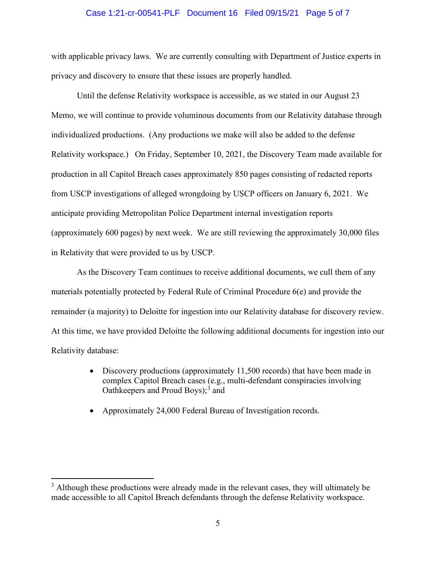#### Case 1:21-cr-00541-PLF Document 16 Filed 09/15/21 Page 5 of 7

with applicable privacy laws. We are currently consulting with Department of Justice experts in privacy and discovery to ensure that these issues are properly handled.

Until the defense Relativity workspace is accessible, as we stated in our August 23 Memo, we will continue to provide voluminous documents from our Relativity database through individualized productions. (Any productions we make will also be added to the defense Relativity workspace.) On Friday, September 10, 2021, the Discovery Team made available for production in all Capitol Breach cases approximately 850 pages consisting of redacted reports from USCP investigations of alleged wrongdoing by USCP officers on January 6, 2021. We anticipate providing Metropolitan Police Department internal investigation reports (approximately 600 pages) by next week. We are still reviewing the approximately 30,000 files in Relativity that were provided to us by USCP.

As the Discovery Team continues to receive additional documents, we cull them of any materials potentially protected by Federal Rule of Criminal Procedure 6(e) and provide the remainder (a majority) to Deloitte for ingestion into our Relativity database for discovery review. At this time, we have provided Deloitte the following additional documents for ingestion into our Relativity database:

- Discovery productions (approximately 11,500 records) that have been made in complex Capitol Breach cases (e.g., multi-defendant conspiracies involving Oathkeepers and Proud Boys); <sup>3</sup> and
- Approximately 24,000 Federal Bureau of Investigation records.

 $3$  Although these productions were already made in the relevant cases, they will ultimately be made accessible to all Capitol Breach defendants through the defense Relativity workspace.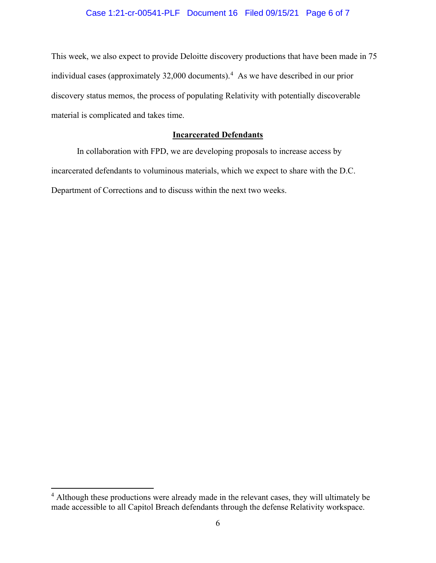# Case 1:21-cr-00541-PLF Document 16 Filed 09/15/21 Page 6 of 7

This week, we also expect to provide Deloitte discovery productions that have been made in 75 individual cases (approximately 32,000 documents). 4 As we have described in our prior discovery status memos, the process of populating Relativity with potentially discoverable material is complicated and takes time.

# **Incarcerated Defendants**

In collaboration with FPD, we are developing proposals to increase access by incarcerated defendants to voluminous materials, which we expect to share with the D.C. Department of Corrections and to discuss within the next two weeks.

<sup>&</sup>lt;sup>4</sup> Although these productions were already made in the relevant cases, they will ultimately be made accessible to all Capitol Breach defendants through the defense Relativity workspace.